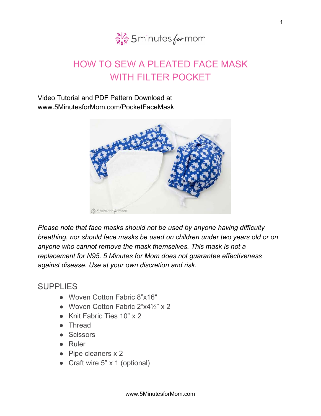

## HOW TO SEW A PLEATED FACE MASK WITH FILTER POCKET

Video Tutorial and PDF Pattern Download at www.5MinutesforMom.com/PocketFaceMask



*Please note that face masks should not be used by anyone having difficulty breathing, nor should face masks be used on children under two years old or on anyone who cannot remove the mask themselves. This mask is not a replacement for N95. 5 Minutes for Mom does not guarantee effectiveness against disease. Use at your own discretion and risk.*

## SUPPLIES

- Woven Cotton Fabric 8"x16"
- Woven Cotton Fabric 2"x4½" x 2
- Knit Fabric Ties 10" x 2
- Thread
- Scissors
- Ruler
- Pipe cleaners x 2
- Craft wire 5" x 1 (optional)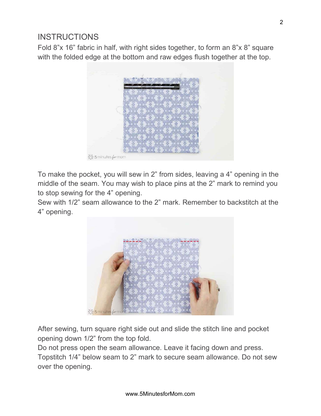## **INSTRUCTIONS**

Fold 8"x 16" fabric in half, with right sides together, to form an 8"x 8" square with the folded edge at the bottom and raw edges flush together at the top.



To make the pocket, you will sew in 2" from sides, leaving a 4" opening in the middle of the seam. You may wish to place pins at the 2" mark to remind you to stop sewing for the 4" opening.

Sew with 1/2" seam allowance to the 2" mark. Remember to backstitch at the 4" opening.



After sewing, turn square right side out and slide the stitch line and pocket opening down 1/2" from the top fold.

Do not press open the seam allowance. Leave it facing down and press.

Topstitch 1/4" below seam to 2" mark to secure seam allowance. Do not sew over the opening.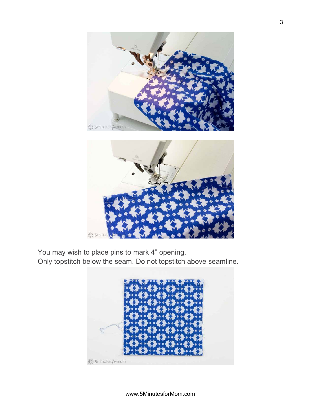

You may wish to place pins to mark 4" opening.

Only topstitch below the seam. Do not topstitch above seamline.

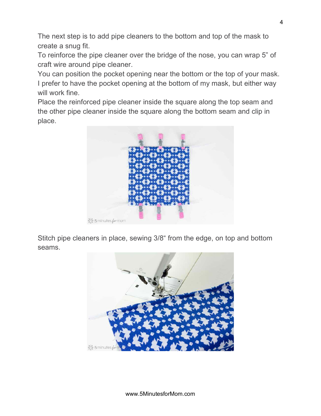The next step is to add pipe cleaners to the bottom and top of the mask to create a snug fit.

To reinforce the pipe cleaner over the bridge of the nose, you can wrap 5" of craft wire around pipe cleaner.

You can position the pocket opening near the bottom or the top of your mask. I prefer to have the pocket opening at the bottom of my mask, but either way will work fine.

Place the reinforced pipe cleaner inside the square along the top seam and the other pipe cleaner inside the square along the bottom seam and clip in place.



Stitch pipe cleaners in place, sewing 3/8" from the edge, on top and bottom seams.

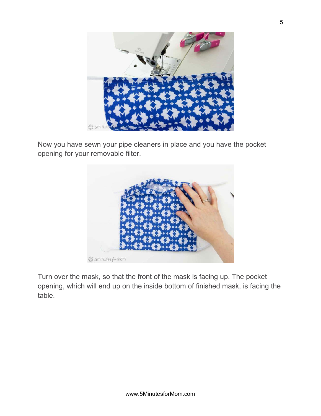

Now you have sewn your pipe cleaners in place and you have the pocket opening for your removable filter.



Turn over the mask, so that the front of the mask is facing up. The pocket opening, which will end up on the inside bottom of finished mask, is facing the table.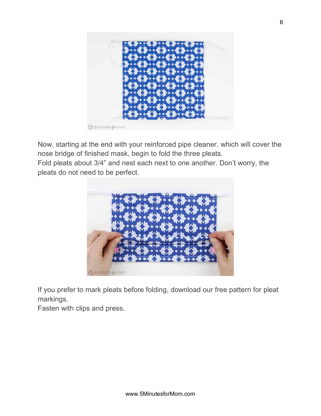

Now, starting at the end with your reinforced pipe cleaner, which will cover the nose bridge of finished mask, begin to fold the three pleats.

Fold pleats about 3/4" and nest each next to one another. Don't worry, the pleats do not need to be perfect.



If you prefer to mark pleats before folding, download our free pattern for pleat markings.

Fasten with clips and press.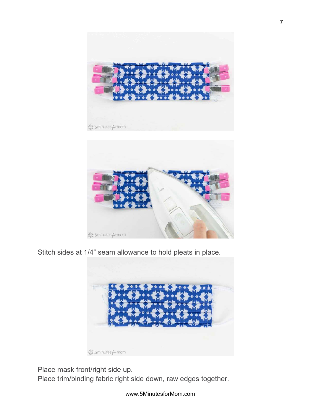

Stitch sides at 1/4" seam allowance to hold pleats in place.



Place mask front/right side up.

Place trim/binding fabric right side down, raw edges together.

www.5MinutesforMom.com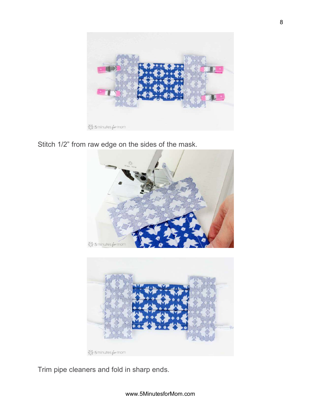

Stitch 1/2" from raw edge on the sides of the mask.





Trim pipe cleaners and fold in sharp ends.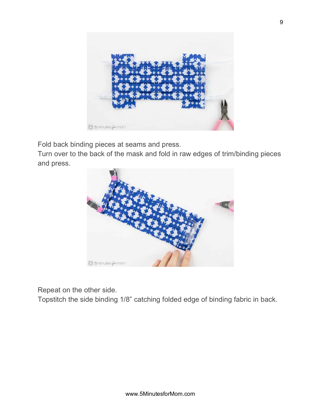

Fold back binding pieces at seams and press.

Turn over to the back of the mask and fold in raw edges of trim/binding pieces and press.



Repeat on the other side.

Topstitch the side binding 1/8" catching folded edge of binding fabric in back.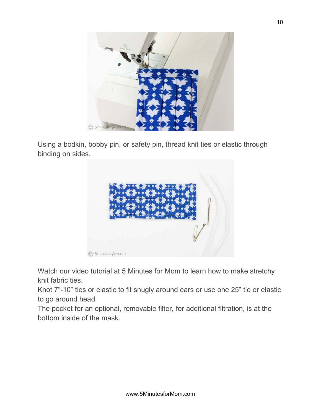

Using a bodkin, bobby pin, or safety pin, thread knit ties or elastic through binding on sides.



Watch our video tutorial at 5 Minutes for Mom to learn how to make stretchy knit fabric ties.

Knot 7"-10" ties or elastic to fit snugly around ears or use one 25" tie or elastic to go around head.

The pocket for an optional, removable filter, for additional filtration, is at the bottom inside of the mask.